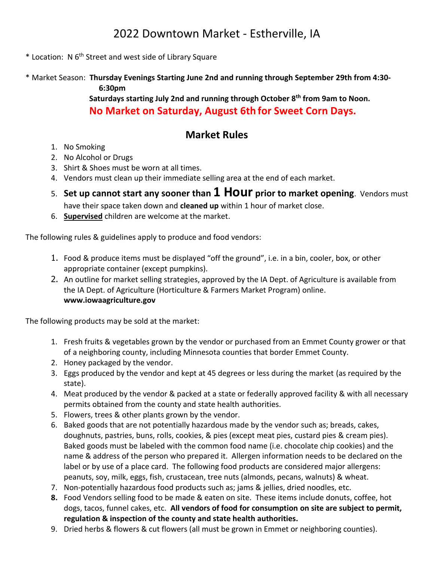## 2022 Downtown Market - Estherville, IA

- \* Location: N 6 th Street and west side of Library Square
- \* Market Season: **Thursday Evenings Starting June 2nd and running through September 29th from 4:30- 6:30pm Saturdays starting July 2nd and running through October 8 th from 9am to Noon.**

**No Market on Saturday, August 6th for Sweet Corn Days.**

## **Market Rules**

- 1. No Smoking
- 2. No Alcohol or Drugs
- 3. Shirt & Shoes must be worn at all times.
- 4. Vendors must clean up their immediate selling area at the end of each market.
- 5. **Set up cannot start any sooner than 1 Hour prior to market opening**. Vendors must have their space taken down and **cleaned up** within 1 hour of market close.
- 6. **Supervised** children are welcome at the market.

The following rules & guidelines apply to produce and food vendors:

- 1. Food & produce items must be displayed "off the ground", i.e. in a bin, cooler, box, or other appropriate container (except pumpkins).
- 2. An outline for market selling strategies, approved by the IA Dept. of Agriculture is available from the IA Dept. of Agriculture (Horticulture & Farmers Market Program) online. **www.iowaagriculture.gov**

The following products may be sold at the market:

- 1. Fresh fruits & vegetables grown by the vendor or purchased from an Emmet County grower or that of a neighboring county, including Minnesota counties that border Emmet County.
- 2. Honey packaged by the vendor.
- 3. Eggs produced by the vendor and kept at 45 degrees or less during the market (as required by the state).
- 4. Meat produced by the vendor & packed at a state or federally approved facility & with all necessary permits obtained from the county and state health authorities.
- 5. Flowers, trees & other plants grown by the vendor.
- 6. Baked goods that are not potentially hazardous made by the vendor such as; breads, cakes, doughnuts, pastries, buns, rolls, cookies, & pies (except meat pies, custard pies & cream pies). Baked goods must be labeled with the common food name (i.e. chocolate chip cookies) and the name & address of the person who prepared it. Allergen information needs to be declared on the label or by use of a place card. The following food products are considered major allergens: peanuts, soy, milk, eggs, fish, crustacean, tree nuts (almonds, pecans, walnuts) & wheat.
- 7. Non-potentially hazardous food products such as; jams & jellies, dried noodles, etc.
- **8.** Food Vendors selling food to be made & eaten on site. These items include donuts, coffee, hot dogs, tacos, funnel cakes, etc. **All vendors of food for consumption on site are subject to permit, regulation & inspection of the county and state health authorities.**
- 9. Dried herbs & flowers & cut flowers (all must be grown in Emmet or neighboring counties).